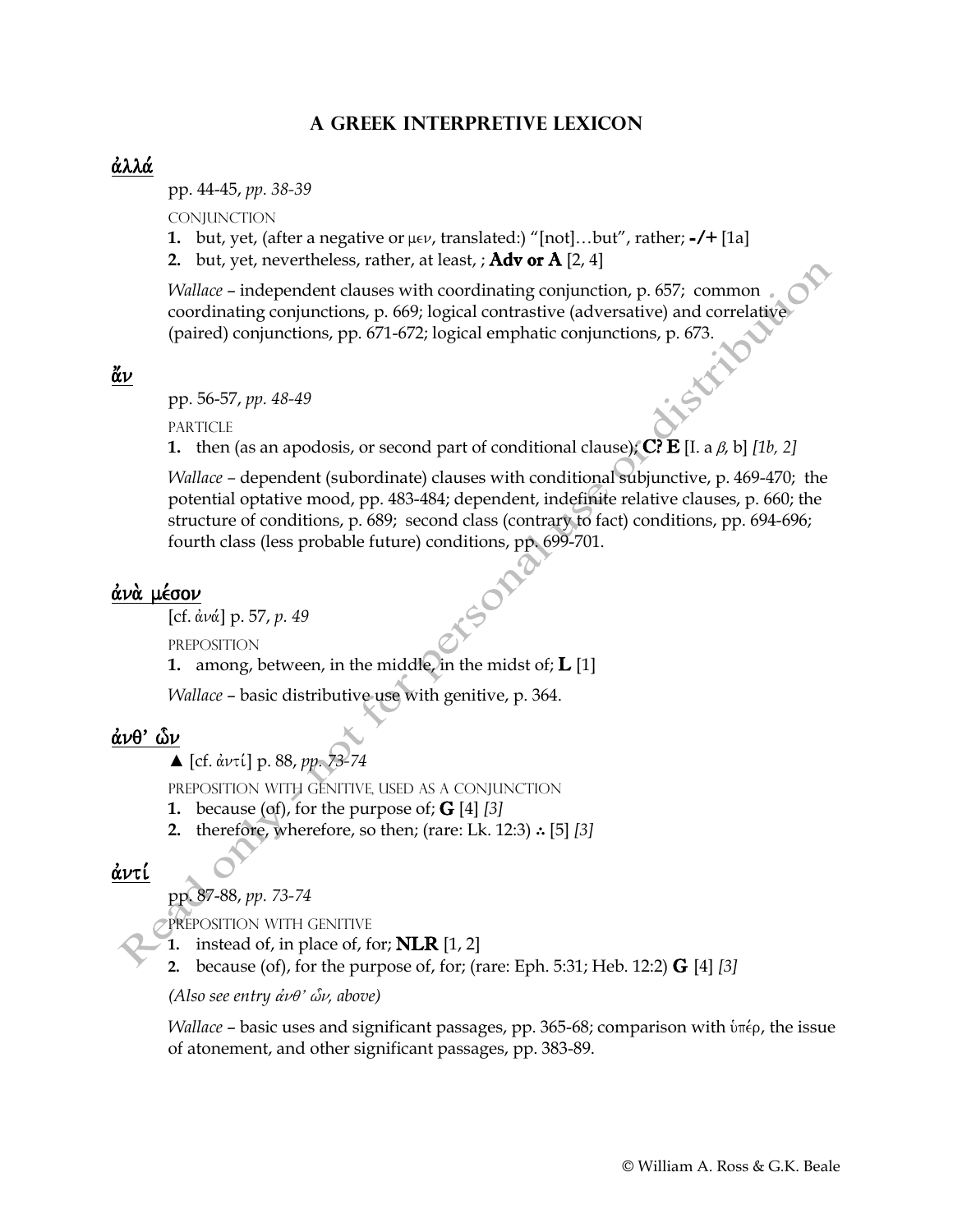#### **A Greek Interpretive Lexicon**

#### άλλά

pp. 44-45, *pp. 38-39*

**CONJUNCTION** 

- **1.** but, yet, (after a negative or  $\mu \in \nu$ , translated:) "[not]...but", rather; -/+ [1a]
- 2. but, yet, nevertheless, rather, at least, ;  $Adv$  or  $A$  [2, 4]

*Wallace* – independent clauses with coordinating conjunction, p. 657; common coordinating conjunctions, p. 669; logical contrastive (adversative) and correlative (paired) conjunctions, pp. 671-672; logical emphatic conjunctions, p. 673.

 $\breve{\alpha}$ ν

pp. 56-57, *pp. 48-49*

**PARTICLE** 

**1.** then (as an apodosis, or second part of conditional clause); **C? E** [I. a  $\beta$ , b] [1b, 2]

*Wallace –* dependent (subordinate) clauses with conditional subjunctive, p. 469-470; the potential optative mood, pp. 483-484; dependent, indefinite relative clauses, p. 660; the structure of conditions, p. 689; second class (contrary to fact) conditions, pp. 694-696; fourth class (less probable future) conditions, pp. 699-701.

#### άνὰ μέσον

[cf. ἀνά] p. 57, *p*. 49

preposition

**1.** among, between, in the middle, in the midst of;  $\bf{L}$  [1]

*Wallace* – basic distributive use with genitive, p. 364.

#### $\dot{\alpha}$ νθ' ών

**▲** [cf. ἀντί] p. 88, *pp.* 73-74

preposition with genitive, used as a conjunction

- **1.** because (of), for the purpose of; **G** [4] [3]
- **2.** therefore, wherefore, so then; (rare: Lk. 12:3) ∴ [5] *[3]*

## άντί

pp. 87-88, *pp. 73-74*

PREPOSITION WITH GENITIVE

**1.** instead of, in place of, for; NLR [1, 2]

**2.** because (of), for the purpose of, for; (rare: Eph. 5:31; Heb. 12:2) G [4] *[3]*

*(Also see entry*  $\dot{\alpha} \nu \theta$ *'*  $\delta \nu$ *, above)* 

*Wallace* – basic uses and significant passages, pp. 365-68; comparison with  $\delta \pi \epsilon$ , the issue of atonement, and other significant passages, pp. 383-89.